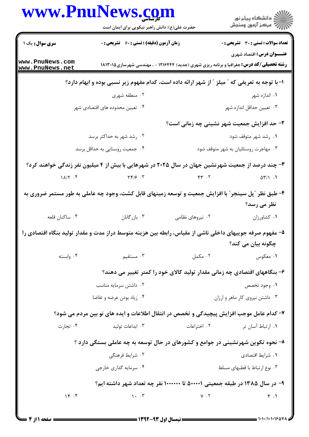|                                    | www.PnuNews.com                                                                                          |                                                                           | ر<br>دانشڪاه پيام نور)<br>اڳ مرڪز آزمون وسنڊش |  |
|------------------------------------|----------------------------------------------------------------------------------------------------------|---------------------------------------------------------------------------|-----------------------------------------------|--|
|                                    | حضرت علی(ع): دانش راهبر نیکویی برای ایمان است                                                            |                                                                           |                                               |  |
| <b>سری سوال :</b> یک ۱             | <b>زمان آزمون (دقیقه) : تستی : 60 گشریحی : 0</b>                                                         |                                                                           | <b>تعداد سوالات : تستی : 30 ٪ تشریحی : 0</b>  |  |
| www.PnuNews.com<br>www.PnuNews.net | <b>رشته تحصیلی/کد درس:</b> جغرافیا و برنامه ریزی شهری (جدید) ۱۲۱۶۴۴۴ - ، مهندسی شهرسازی ۱۸۱۳۰۱۵          |                                                                           | <b>عنـــوان درس:</b> اقتصاد شهری              |  |
|                                    | ۱– با توجه به تعریفی که ″ میلز ″ از شهر ارائه داده است، کدام مفهوم زیر نسبی بوده و ابهام دارد؟           |                                                                           |                                               |  |
|                                    | ۰۲ منطقه شهری                                                                                            |                                                                           | ۰۱ اندازه شهر                                 |  |
|                                    | ۰۴ تعیین محدوده های اقتصادی شهر                                                                          |                                                                           | ۰۳ تعیین حداقل اندازه شهر                     |  |
|                                    |                                                                                                          |                                                                           | ۲- حد افزایش جمعیت شهر نشینی چه زمانی است؟    |  |
|                                    | ۰۲ رشد شهر به حداکثر برسد                                                                                |                                                                           | ۰۱ رشد شهر متوقف شود                          |  |
|                                    | ۰۴ جمعیت روستایی به حداقل برسد                                                                           |                                                                           | ۰۳ مهاجرت روستائیان به شهر متوقف شود          |  |
|                                    | ۳- چند درصد از جمعیت شهرنشین جهان در سال ۲۰۲۵ در شهرهایی با بیش از ۴ میلیون نفر زندگی خواهند کرد؟        |                                                                           |                                               |  |
| $1\lambda/\Upsilon$ . ۴            | $\gamma \gamma / \beta$ . $\gamma$                                                                       | $Y.$ $YY$                                                                 | $\Delta \Upsilon / \Lambda$ .                 |  |
|                                    | ۴- طبق نظر ″پل سینجر″ با افزایش جمعیت و توسعه زمینهای قابل کشت، وجود چه عاملی به طور مستمر ضروری به      |                                                                           | نظر می رسد؟                                   |  |
| ۰۴ ساكنان قلعه                     | ۰۳ بازرگانان                                                                                             | ۰۲ نیروهای نظامی                                                          | ۰۱ کشاورزان                                   |  |
|                                    | ۵– مفهوم صرفه جوییهای داخلی ناشی از مقیاس، رابطه بین هزینه متوسط دراز مدت و مقدار تولید بنگاه اقتصادی را |                                                                           | چگونه بیان می کند؟                            |  |
| ۰۴ وابسته                          | ۰۳ مستقیم                                                                                                | ۰۲ مکمل                                                                   | ۰۱ معکوس                                      |  |
|                                    |                                                                                                          | ۶- بنگاههای اقتصادی چه زمانی مقدار تولید کالای خود را کمتر تغییر می دهند؟ |                                               |  |
|                                    | ۰۲ داشتن سرمایه مناسب                                                                                    |                                                                           | ۰۱ وجود تخصص                                  |  |
| ۰۴ زیاد بودن عرضه و تقاضا          |                                                                                                          |                                                                           | ۰۳ داشتن نیروی کار ماهر و ارزان               |  |
|                                    | ٧- كدام عامل موجب افزايش پيچيدگي و تخصص در انتقال اطلاعات و ايده هاي نو بين مردم مي شود؟                 |                                                                           |                                               |  |
| ۰۴ تجارت                           | ۰۳ ابداعات تولید                                                                                         | ۰۲ اختراعات                                                               | ۰۱ ارتباط آسان تر                             |  |
|                                    | ۸– نحوه تکوین شهرنشینی در جوامع و کشورهای در حال توسعه به چه عاملی بستگی دارد ؟                          |                                                                           |                                               |  |
|                                    | ۰۲ شرایط فرهنگی                                                                                          |                                                                           | ۰۱ شرایط اقتصادی                              |  |
|                                    | ۰۴ سرمایه گذاری خارجی                                                                                    |                                                                           | ۰۳ نوع ارتباط با قطبهای مسلط                  |  |
|                                    | ۹- در سال ۱۳۸۵ در طبقه جمعیتی ۵۰۰۰۰۱ تا ۱۰۰۰۰۰۰ نفر چه تعداد شهر داشته ایم؟                              |                                                                           |                                               |  |
|                                    |                                                                                                          |                                                                           |                                               |  |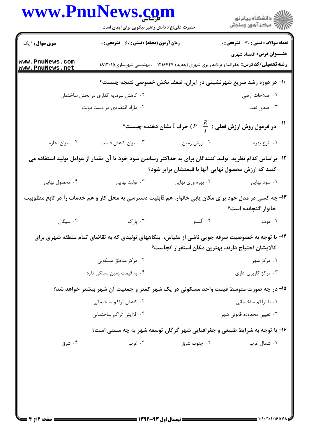|                                    | www.PnuNews.com                                                                                          |                   | ر<br>دانشڪاه پيام نور)<br>اڳ مرڪز آزمون وسنڊش                                                  |
|------------------------------------|----------------------------------------------------------------------------------------------------------|-------------------|------------------------------------------------------------------------------------------------|
|                                    | حضرت علی(ع): دانش راهبر نیکویی برای ایمان است                                                            |                   |                                                                                                |
| <b>سری سوال :</b> ۱ یک             | <b>زمان آزمون (دقیقه) : تستی : 60 گشریحی : 0</b>                                                         |                   | <b>تعداد سوالات : تستی : 30 ٪ تشریحی : 0</b>                                                   |
|                                    |                                                                                                          |                   | <b>عنـــوان درس:</b> اقتصاد شهری                                                               |
| www.PnuNews.com<br>www.PnuNews.net |                                                                                                          |                   | <b>رشته تحصیلی/کد درس:</b> جغرافیا و برنامه ریزی شهری (جدید) ۱۲۱۶۴۴۴ - ، مهندسی شهرسازی۱۸۱۳۰۱۵ |
|                                    |                                                                                                          |                   | +۱- در دوره رشد سریع شهرنشینی در ایران، ضعف بخش خصوصی نتیجه چیست؟                              |
|                                    | ۰۲ کاهش سرمایه گذاری در بخش ساختمان                                                                      |                   | ٠١. اصلاحات ارضي                                                                               |
|                                    | ۰۴ مازاد اقتصادی در دست دولت                                                                             |                   | ۰۳ صدور نفت                                                                                    |
|                                    |                                                                                                          |                   | $^9$ در فرمول روش ارزش فعلی ( $\frac{R}{I}$ ) حرف آ نشان دهنده چیست $^9$                       |
| ۰۴ میزان اجاره                     | ۰۳ میزان کاهش قیمت                                                                                       | ۰۲ ارزش زمین      | ۰۱ نرخ بهره                                                                                    |
|                                    | ۱۲- براساس کدام نظریه، تولید کنندگان برای به حداکثر رساندن سود خود تا آن مقدار از عوامل تولید استفاده می |                   | کنند که ارزش محصول نهایی آنها با قیمتشان برابر شود؟                                            |
| ۰۴ محصول نهایی                     | ۰۳ تولید نهایی                                                                                           | ۰۲ بهره وري نهايي | ۰۱ سود نهایی                                                                                   |
|                                    | ۱۳- چه کسی در مدل خود برای مکان یابی خانوار، هم قابلیت دسترسی به محل کار و هم خدمات را در تابع مطلوبیت   |                   | خانوار گنجانده است؟                                                                            |
| ۰۴ سیگال                           | ۰۳ پارک                                                                                                  | ۰۲ آلنسو          | ۰۱ موث                                                                                         |
|                                    | ۱۴- با توجه به خصوصیت صرفه جویی ناشی از مقیاس، بنگاههای تولیدی که به تقاضای تمام منطقه شهری برای         |                   |                                                                                                |
|                                    |                                                                                                          |                   | كالايشان احتياج دارند، بهترين مكان استقرار كجاست؟                                              |
|                                    | ۰۲ مرکز مناطق مسکونی                                                                                     |                   | ۰۱ مرکز شهر                                                                                    |
|                                    | ۰۴ به قیمت زمین بستگی دارد                                                                               |                   | ۰۳ مرکز کاربری اداری                                                                           |
|                                    | 1۵– در چه صورت متوسط قیمت واحد مسکونی در یک شهر کمتر و جمعیت آن شهر بیشتر خواهد شد؟                      |                   |                                                                                                |
|                                    | ۰۲ کاهش تراکم ساختمانی                                                                                   |                   | ۰۱ با تراکم ساختمانی                                                                           |
|                                    | ۰۴ افزایش تراکم ساختمانی                                                                                 |                   | ۰۳ تعيين محدوده قانوني شهر                                                                     |
|                                    |                                                                                                          |                   | ۱۶- با توجه به شرایط طبیعی و جغرافیایی شهر گرگان توسعه شهر به چه سمتی است؟                     |
| ۰۴ شرق                             | ۰۳ غرب                                                                                                   | ۰۲ جنوب شرق       | ۰۱ شمال غرب                                                                                    |
|                                    |                                                                                                          |                   |                                                                                                |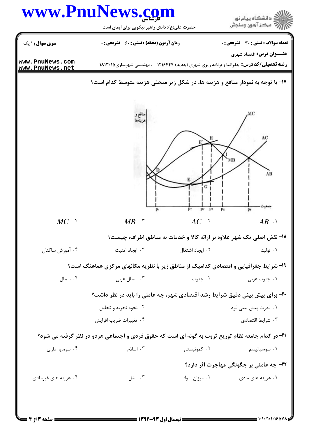